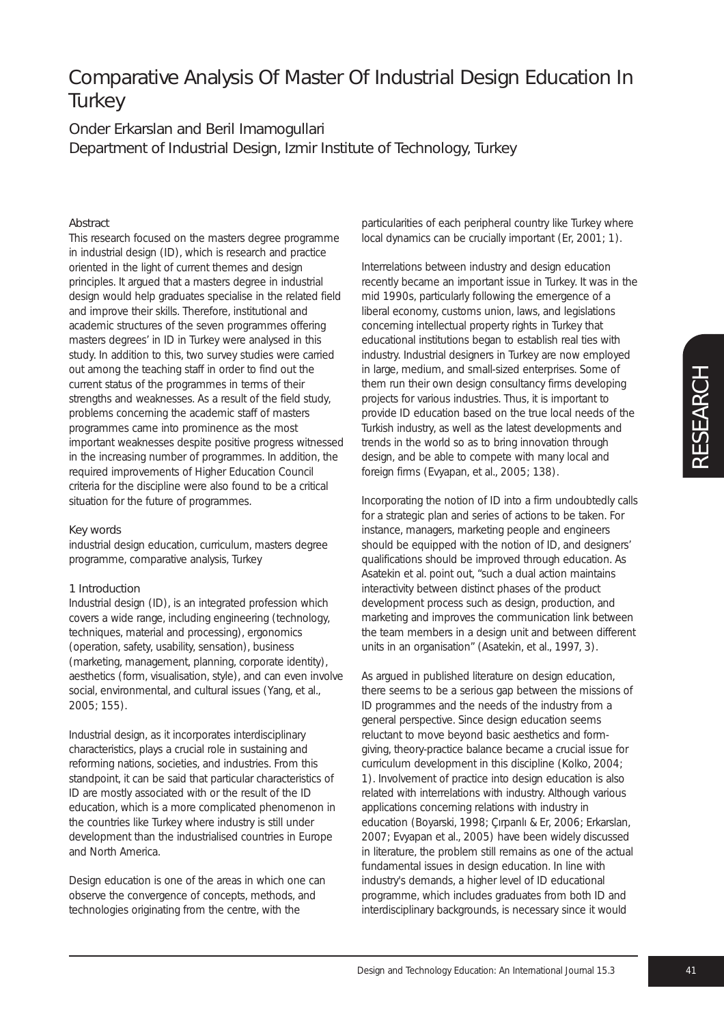# Comparative Analysis Of Master Of Industrial Design Education In **Turkey**

## Onder Erkarslan and Beril Imamogullari Department of Industrial Design, Izmir Institute of Technology, Turkey

### **Abstract**

This research focused on the masters degree programme in industrial design (ID), which is research and practice oriented in the light of current themes and design principles. It argued that a masters degree in industrial design would help graduates specialise in the related field and improve their skills. Therefore, institutional and academic structures of the seven programmes offering masters degrees' in ID in Turkey were analysed in this study. In addition to this, two survey studies were carried out among the teaching staff in order to find out the current status of the programmes in terms of their strengths and weaknesses. As a result of the field study, problems concerning the academic staff of masters programmes came into prominence as the most important weaknesses despite positive progress witnessed in the increasing number of programmes. In addition, the required improvements of Higher Education Council criteria for the discipline were also found to be a critical situation for the future of programmes.

#### Key words

industrial design education, curriculum, masters degree programme, comparative analysis, Turkey

#### 1 Introduction

Industrial design (ID), is an integrated profession which covers a wide range, including engineering (technology, techniques, material and processing), ergonomics (operation, safety, usability, sensation), business (marketing, management, planning, corporate identity), aesthetics (form, visualisation, style), and can even involve social, environmental, and cultural issues (Yang, et al., 2005; 155).

Industrial design, as it incorporates interdisciplinary characteristics, plays a crucial role in sustaining and reforming nations, societies, and industries. From this standpoint, it can be said that particular characteristics of ID are mostly associated with or the result of the ID education, which is a more complicated phenomenon in the countries like Turkey where industry is still under development than the industrialised countries in Europe and North America.

Design education is one of the areas in which one can observe the convergence of concepts, methods, and technologies originating from the centre, with the

particularities of each peripheral country like Turkey where local dynamics can be crucially important (Er, 2001; 1).

Interrelations between industry and design education recently became an important issue in Turkey. It was in the mid 1990s, particularly following the emergence of a liberal economy, customs union, laws, and legislations concerning intellectual property rights in Turkey that educational institutions began to establish real ties with industry. Industrial designers in Turkey are now employed in large, medium, and small-sized enterprises. Some of them run their own design consultancy firms developing projects for various industries. Thus, it is important to provide ID education based on the true local needs of the Turkish industry, as well as the latest developments and trends in the world so as to bring innovation through design, and be able to compete with many local and foreign firms (Evyapan, et al., 2005; 138).

Incorporating the notion of ID into a firm undoubtedly calls for a strategic plan and series of actions to be taken. For instance, managers, marketing people and engineers should be equipped with the notion of ID, and designers' qualifications should be improved through education. As Asatekin et al. point out, "such a dual action maintains interactivity between distinct phases of the product development process such as design, production, and marketing and improves the communication link between the team members in a design unit and between different units in an organisation" (Asatekin, et al., 1997, 3).

As argued in published literature on design education, there seems to be a serious gap between the missions of ID programmes and the needs of the industry from a general perspective. Since design education seems reluctant to move beyond basic aesthetics and formgiving, theory-practice balance became a crucial issue for curriculum development in this discipline (Kolko, 2004; 1). Involvement of practice into design education is also related with interrelations with industry. Although various applications concerning relations with industry in education (Boyarski, 1998; Çırpanlı & Er, 2006; Erkarslan, 2007; Evyapan et al., 2005) have been widely discussed in literature, the problem still remains as one of the actual fundamental issues in design education. In line with industry's demands, a higher level of ID educational programme, which includes graduates from both ID and interdisciplinary backgrounds, is necessary since it would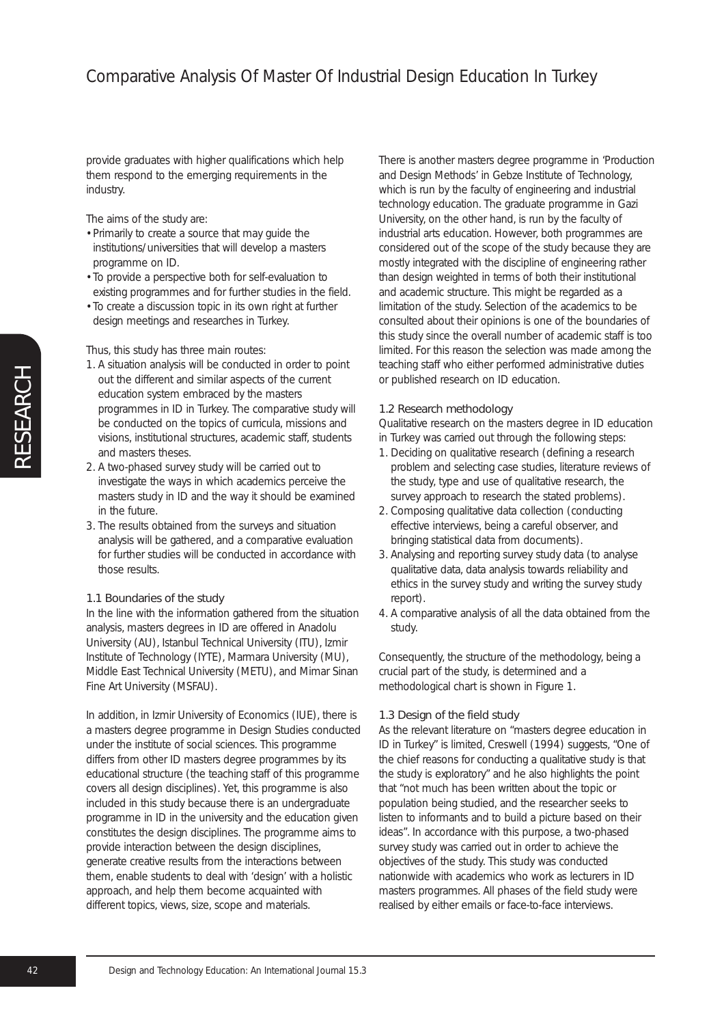provide graduates with higher qualifications which help them respond to the emerging requirements in the industry.

The aims of the study are:

- Primarily to create a source that may guide the institutions/universities that will develop a masters programme on ID.
- To provide a perspective both for self-evaluation to existing programmes and for further studies in the field.
- To create a discussion topic in its own right at further design meetings and researches in Turkey.

Thus, this study has three main routes:

- 1. A situation analysis will be conducted in order to point out the different and similar aspects of the current education system embraced by the masters programmes in ID in Turkey. The comparative study will be conducted on the topics of curricula, missions and visions, institutional structures, academic staff, students and masters theses.
- 2. A two-phased survey study will be carried out to investigate the ways in which academics perceive the masters study in ID and the way it should be examined in the future.
- 3. The results obtained from the surveys and situation analysis will be gathered, and a comparative evaluation for further studies will be conducted in accordance with those results.

## 1.1 Boundaries of the study

In the line with the information gathered from the situation analysis, masters degrees in ID are offered in Anadolu University (AU), Istanbul Technical University (ITU), Izmir Institute of Technology (IYTE), Marmara University (MU), Middle East Technical University (METU), and Mimar Sinan Fine Art University (MSFAU).

In addition, in Izmir University of Economics (IUE), there is a masters degree programme in Design Studies conducted under the institute of social sciences. This programme differs from other ID masters degree programmes by its educational structure (the teaching staff of this programme covers all design disciplines). Yet, this programme is also included in this study because there is an undergraduate programme in ID in the university and the education given constitutes the design disciplines. The programme aims to provide interaction between the design disciplines, generate creative results from the interactions between them, enable students to deal with 'design' with a holistic approach, and help them become acquainted with different topics, views, size, scope and materials.

There is another masters degree programme in 'Production and Design Methods' in Gebze Institute of Technology, which is run by the faculty of engineering and industrial technology education. The graduate programme in Gazi University, on the other hand, is run by the faculty of industrial arts education. However, both programmes are considered out of the scope of the study because they are mostly integrated with the discipline of engineering rather than design weighted in terms of both their institutional and academic structure. This might be regarded as a limitation of the study. Selection of the academics to be consulted about their opinions is one of the boundaries of this study since the overall number of academic staff is too limited. For this reason the selection was made among the teaching staff who either performed administrative duties or published research on ID education.

## 1.2 Research methodology

Qualitative research on the masters degree in ID education in Turkey was carried out through the following steps:

- 1. Deciding on qualitative research (defining a research problem and selecting case studies, literature reviews of the study, type and use of qualitative research, the survey approach to research the stated problems).
- 2. Composing qualitative data collection (conducting effective interviews, being a careful observer, and bringing statistical data from documents).
- 3. Analysing and reporting survey study data (to analyse qualitative data, data analysis towards reliability and ethics in the survey study and writing the survey study report).
- 4. A comparative analysis of all the data obtained from the study.

Consequently, the structure of the methodology, being a crucial part of the study, is determined and a methodological chart is shown in Figure 1.

## 1.3 Design of the field study

As the relevant literature on "masters degree education in ID in Turkey" is limited, Creswell (1994) suggests, "One of the chief reasons for conducting a qualitative study is that the study is exploratory" and he also highlights the point that "not much has been written about the topic or population being studied, and the researcher seeks to listen to informants and to build a picture based on their ideas". In accordance with this purpose, a two-phased survey study was carried out in order to achieve the objectives of the study. This study was conducted nationwide with academics who work as lecturers in ID masters programmes. All phases of the field study were realised by either emails or face-to-face interviews.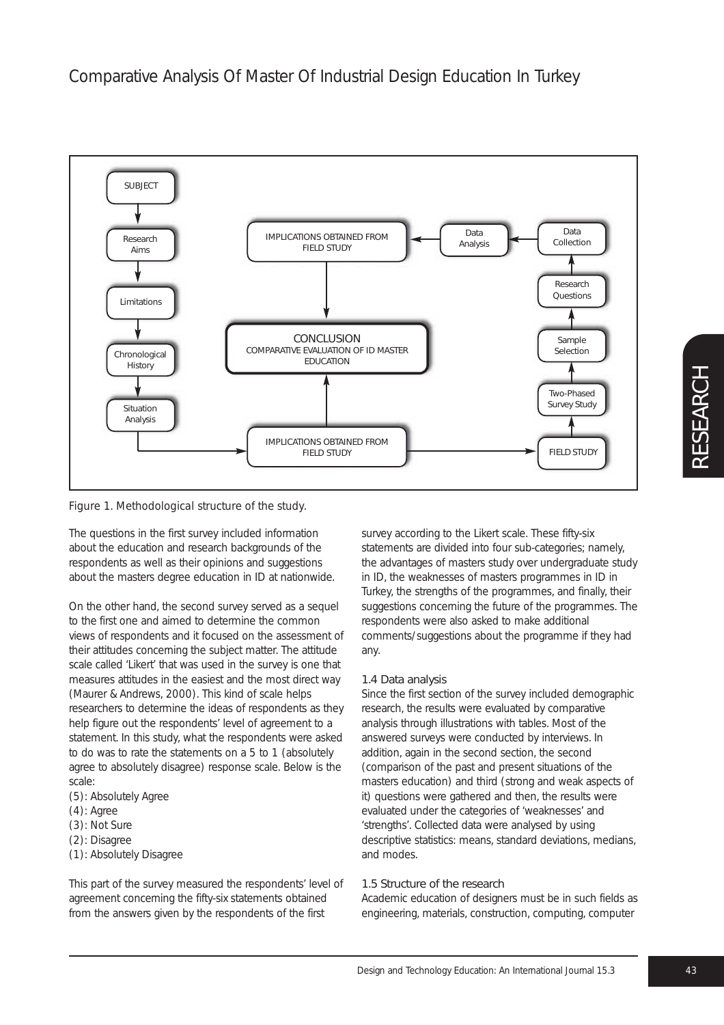

*Figure 1. Methodological structure of the study.*

The questions in the first survey included information about the education and research backgrounds of the respondents as well as their opinions and suggestions about the masters degree education in ID at nationwide.

On the other hand, the second survey served as a sequel to the first one and aimed to determine the common views of respondents and it focused on the assessment of their attitudes concerning the subject matter. The attitude scale called 'Likert' that was used in the survey is one that measures attitudes in the easiest and the most direct way (Maurer & Andrews, 2000). This kind of scale helps researchers to determine the ideas of respondents as they help figure out the respondents' level of agreement to a statement. In this study, what the respondents were asked to do was to rate the statements on a 5 to 1 (absolutely agree to absolutely disagree) response scale. Below is the scale:

- (5): Absolutely Agree
- (4): Agree
- (3): Not Sure
- (2): Disagree
- (1): Absolutely Disagree

This part of the survey measured the respondents' level of agreement concerning the fifty-six statements obtained from the answers given by the respondents of the first

survey according to the Likert scale. These fifty-six statements are divided into four sub-categories; namely, the advantages of masters study over undergraduate study in ID, the weaknesses of masters programmes in ID in Turkey, the strengths of the programmes, and finally, their suggestions concerning the future of the programmes. The respondents were also asked to make additional comments/suggestions about the programme if they had any.

## 1.4 Data analysis

Since the first section of the survey included demographic research, the results were evaluated by comparative analysis through illustrations with tables. Most of the answered surveys were conducted by interviews. In addition, again in the second section, the second (comparison of the past and present situations of the masters education) and third (strong and weak aspects of it) questions were gathered and then, the results were evaluated under the categories of 'weaknesses' and 'strengths'. Collected data were analysed by using descriptive statistics: means, standard deviations, medians, and modes.

#### 1.5 Structure of the research

Academic education of designers must be in such fields as engineering, materials, construction, computing, computer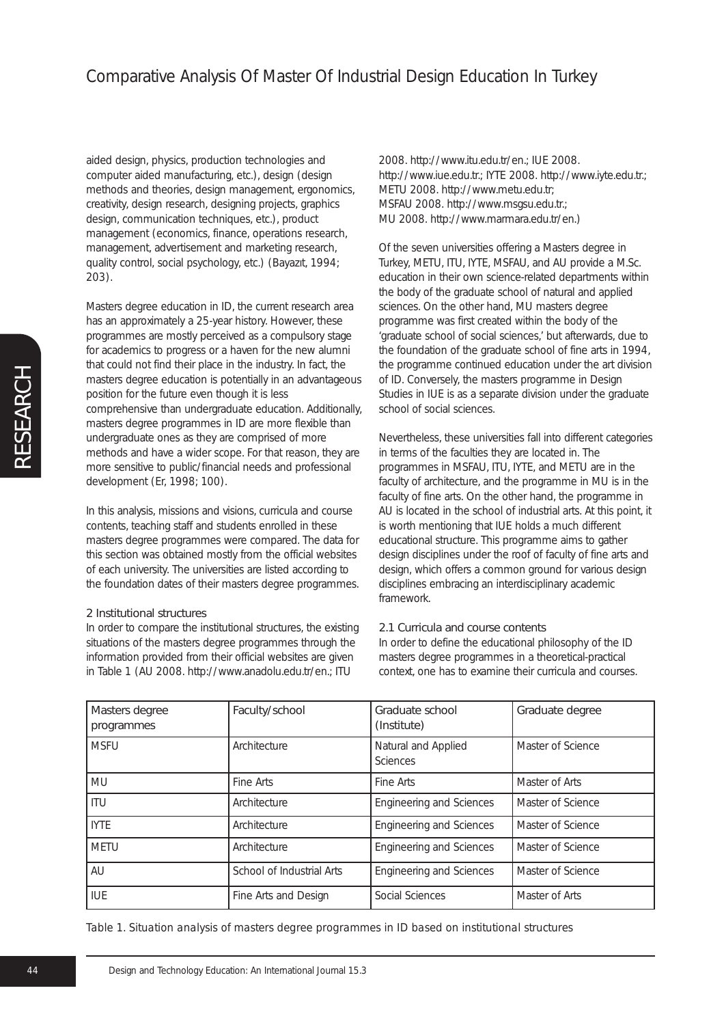aided design, physics, production technologies and computer aided manufacturing, etc.), design (design methods and theories, design management, ergonomics, creativity, design research, designing projects, graphics design, communication techniques, etc.), product management (economics, finance, operations research, management, advertisement and marketing research, quality control, social psychology, etc.) (Bayazıt, 1994; 203).

Masters degree education in ID, the current research area has an approximately a 25-year history. However, these programmes are mostly perceived as a compulsory stage for academics to progress or a haven for the new alumni that could not find their place in the industry. In fact, the masters degree education is potentially in an advantageous position for the future even though it is less comprehensive than undergraduate education. Additionally, masters degree programmes in ID are more flexible than undergraduate ones as they are comprised of more methods and have a wider scope. For that reason, they are more sensitive to public/financial needs and professional development (Er, 1998; 100).

In this analysis, missions and visions, curricula and course contents, teaching staff and students enrolled in these masters degree programmes were compared. The data for this section was obtained mostly from the official websites of each university. The universities are listed according to the foundation dates of their masters degree programmes.

#### 2 Institutional structures

In order to compare the institutional structures, the existing situations of the masters degree programmes through the information provided from their official websites are given in Table 1 (AU 2008. http://www.anadolu.edu.tr/en.; ITU

2008. http://www.itu.edu.tr/en.; IUE 2008. http://www.iue.edu.tr.; IYTE 2008. http://www.iyte.edu.tr.; METU 2008. http://www.metu.edu.tr; MSFAU 2008. http://www.msgsu.edu.tr.; MU 2008. http://www.marmara.edu.tr/en.)

Of the seven universities offering a Masters degree in Turkey, METU, ITU, IYTE, MSFAU, and AU provide a M.Sc. education in their own science-related departments within the body of the graduate school of natural and applied sciences. On the other hand, MU masters degree programme was first created within the body of the 'graduate school of social sciences,' but afterwards, due to the foundation of the graduate school of fine arts in 1994, the programme continued education under the art division of ID. Conversely, the masters programme in Design Studies in IUE is as a separate division under the graduate school of social sciences.

Nevertheless, these universities fall into different categories in terms of the faculties they are located in. The programmes in MSFAU, ITU, IYTE, and METU are in the faculty of architecture, and the programme in MU is in the faculty of fine arts. On the other hand, the programme in AU is located in the school of industrial arts. At this point, it is worth mentioning that IUE holds a much different educational structure. This programme aims to gather design disciplines under the roof of faculty of fine arts and design, which offers a common ground for various design disciplines embracing an interdisciplinary academic framework.

#### 2.1 Curricula and course contents

In order to define the educational philosophy of the ID masters degree programmes in a theoretical-practical context, one has to examine their curricula and courses.

| Masters degree<br>programmes | Faculty/school            | Graduate school<br>(Institute)         | Graduate degree   |
|------------------------------|---------------------------|----------------------------------------|-------------------|
| <b>MSFU</b>                  | Architecture              | Natural and Applied<br><b>Sciences</b> | Master of Science |
| MU                           | Fine Arts                 | Fine Arts                              | Master of Arts    |
| ITU                          | Architecture              | <b>Engineering and Sciences</b>        | Master of Science |
| <b>IYTE</b>                  | Architecture              | Engineering and Sciences               | Master of Science |
| <b>METU</b>                  | Architecture              | <b>Engineering and Sciences</b>        | Master of Science |
| AU                           | School of Industrial Arts | Engineering and Sciences               | Master of Science |
| <b>IUE</b>                   | Fine Arts and Design      | Social Sciences                        | Master of Arts    |

*Table 1. Situation analysis of masters degree programmes in ID based on institutional structures*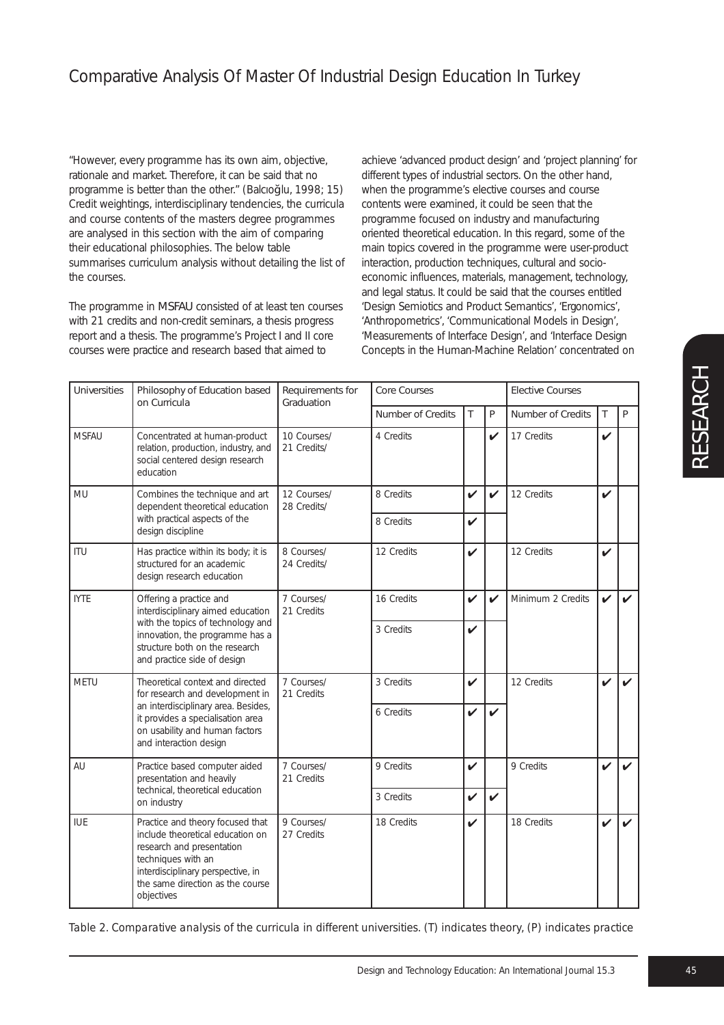"However, every programme has its own aim, objective, rationale and market. Therefore, it can be said that no programme is better than the other." (Balcıoğlu, 1998; 15) Credit weightings, interdisciplinary tendencies, the curricula and course contents of the masters degree programmes are analysed in this section with the aim of comparing their educational philosophies. The below table summarises curriculum analysis without detailing the list of the courses.

The programme in MSFAU consisted of at least ten courses with 21 credits and non-credit seminars, a thesis progress report and a thesis. The programme's Project I and II core courses were practice and research based that aimed to

achieve 'advanced product design' and 'project planning' for different types of industrial sectors. On the other hand, when the programme's elective courses and course contents were examined, it could be seen that the programme focused on industry and manufacturing oriented theoretical education. In this regard, some of the main topics covered in the programme were user-product interaction, production techniques, cultural and socioeconomic influences, materials, management, technology, and legal status. It could be said that the courses entitled 'Design Semiotics and Product Semantics', 'Ergonomics', 'Anthropometrics', 'Communicational Models in Design', 'Measurements of Interface Design', and 'Interface Design Concepts in the Human-Machine Relation' concentrated on

| <b>Universities</b> | Philosophy of Education based<br>on Curricula                                                                                                                                                                  | Requirements for<br>Graduation | <b>Core Courses</b>      |                    |                    | <b>Elective Courses</b> |                    |   |
|---------------------|----------------------------------------------------------------------------------------------------------------------------------------------------------------------------------------------------------------|--------------------------------|--------------------------|--------------------|--------------------|-------------------------|--------------------|---|
|                     |                                                                                                                                                                                                                |                                | <b>Number of Credits</b> | T                  | $\mathsf{P}$       | Number of Credits       | T                  | P |
| <b>MSFAU</b>        | Concentrated at human-product<br>relation, production, industry, and<br>social centered design research<br>education                                                                                           | 10 Courses/<br>21 Credits/     | 4 Credits                |                    | V                  | 17 Credits              | $\checkmark$       |   |
| MU                  | Combines the technique and art<br>dependent theoretical education                                                                                                                                              | 12 Courses/<br>28 Credits/     | 8 Credits                | $\checkmark$       | $\boldsymbol{\nu}$ | 12 Credits              | ✓                  |   |
|                     | with practical aspects of the<br>design discipline                                                                                                                                                             |                                | 8 Credits                | $\boldsymbol{\nu}$ |                    |                         |                    |   |
| ITU                 | Has practice within its body; it is<br>structured for an academic<br>design research education                                                                                                                 | 8 Courses/<br>24 Credits/      | 12 Credits               | $\boldsymbol{\nu}$ |                    | 12 Credits              | V                  |   |
| <b>IYTE</b>         | Offering a practice and<br>interdisciplinary aimed education                                                                                                                                                   | 7 Courses/<br>21 Credits       | 16 Credits               | $\checkmark$       | $\mathbf v$        | Minimum 2 Credits       | $\checkmark$       |   |
|                     | with the topics of technology and<br>innovation, the programme has a<br>structure both on the research<br>and practice side of design                                                                          |                                | 3 Credits                | $\boldsymbol{\nu}$ |                    |                         |                    |   |
| MFTU                | Theoretical context and directed<br>for research and development in                                                                                                                                            | 7 Courses/<br>21 Credits       | 3 Credits                | $\boldsymbol{\nu}$ |                    | 12 Credits              | $\boldsymbol{\nu}$ |   |
|                     | an interdisciplinary area. Besides,<br>it provides a specialisation area<br>on usability and human factors<br>and interaction design                                                                           |                                | 6 Credits                | $\mathbf v$        | $\mathbf v$        |                         |                    |   |
| AU                  | Practice based computer aided<br>presentation and heavily                                                                                                                                                      | 7 Courses/<br>21 Credits       | 9 Credits                | $\boldsymbol{\nu}$ |                    | 9 Credits               | ✓                  |   |
|                     | technical, theoretical education<br>on industry                                                                                                                                                                |                                | 3 Credits                | $\checkmark$       | $\checkmark$       |                         |                    |   |
| <b>IUE</b>          | Practice and theory focused that<br>include theoretical education on<br>research and presentation<br>techniques with an<br>interdisciplinary perspective, in<br>the same direction as the course<br>objectives | 9 Courses/<br>27 Credits       | 18 Credits               | $\checkmark$       |                    | 18 Credits              | V                  |   |

*Table 2. Comparative analysis of the curricula in different universities. (T) indicates theory, (P) indicates practice*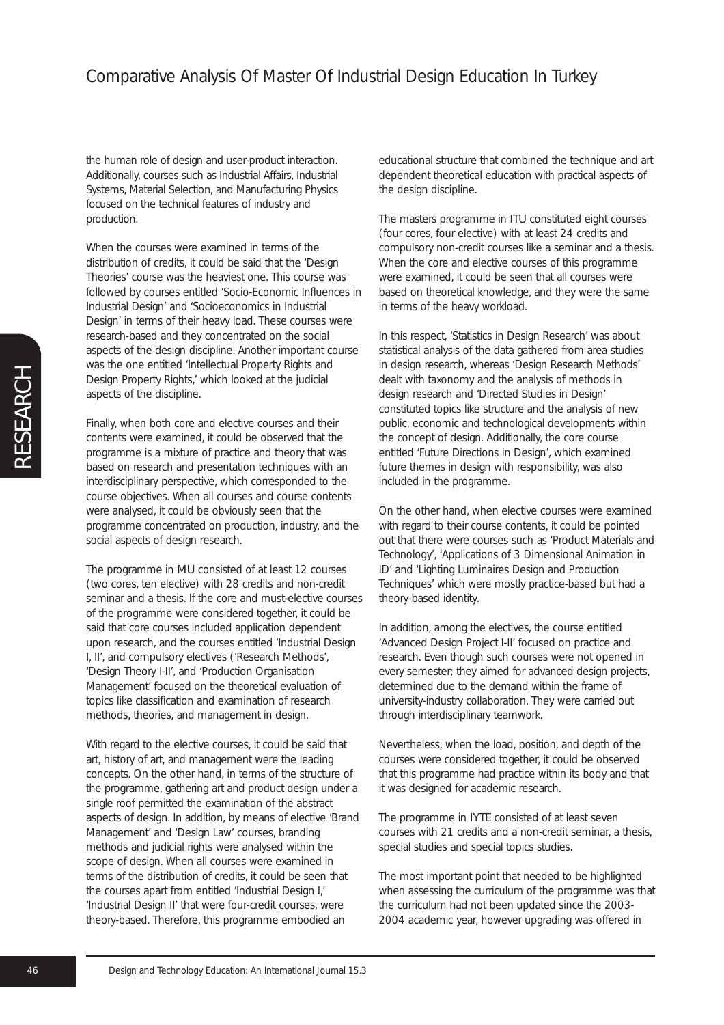the human role of design and user-product interaction. Additionally, courses such as Industrial Affairs, Industrial Systems, Material Selection, and Manufacturing Physics focused on the technical features of industry and production.

When the courses were examined in terms of the distribution of credits, it could be said that the 'Design Theories' course was the heaviest one. This course was followed by courses entitled 'Socio-Economic Influences in Industrial Design' and 'Socioeconomics in Industrial Design' in terms of their heavy load. These courses were research-based and they concentrated on the social aspects of the design discipline. Another important course was the one entitled 'Intellectual Property Rights and Design Property Rights,' which looked at the judicial aspects of the discipline.

Finally, when both core and elective courses and their contents were examined, it could be observed that the programme is a mixture of practice and theory that was based on research and presentation techniques with an interdisciplinary perspective, which corresponded to the course objectives. When all courses and course contents were analysed, it could be obviously seen that the programme concentrated on production, industry, and the social aspects of design research.

The programme in MU consisted of at least 12 courses (two cores, ten elective) with 28 credits and non-credit seminar and a thesis. If the core and must-elective courses of the programme were considered together, it could be said that core courses included application dependent upon research, and the courses entitled 'Industrial Design I, II', and compulsory electives ('Research Methods', 'Design Theory I-II', and 'Production Organisation Management' focused on the theoretical evaluation of topics like classification and examination of research methods, theories, and management in design.

With regard to the elective courses, it could be said that art, history of art, and management were the leading concepts. On the other hand, in terms of the structure of the programme, gathering art and product design under a single roof permitted the examination of the abstract aspects of design. In addition, by means of elective 'Brand Management' and 'Design Law' courses, branding methods and judicial rights were analysed within the scope of design. When all courses were examined in terms of the distribution of credits, it could be seen that the courses apart from entitled 'Industrial Design I,' 'Industrial Design II' that were four-credit courses, were theory-based. Therefore, this programme embodied an

educational structure that combined the technique and art dependent theoretical education with practical aspects of the design discipline.

The masters programme in ITU constituted eight courses (four cores, four elective) with at least 24 credits and compulsory non-credit courses like a seminar and a thesis. When the core and elective courses of this programme were examined, it could be seen that all courses were based on theoretical knowledge, and they were the same in terms of the heavy workload.

In this respect, 'Statistics in Design Research' was about statistical analysis of the data gathered from area studies in design research, whereas 'Design Research Methods' dealt with taxonomy and the analysis of methods in design research and 'Directed Studies in Design' constituted topics like structure and the analysis of new public, economic and technological developments within the concept of design. Additionally, the core course entitled 'Future Directions in Design', which examined future themes in design with responsibility, was also included in the programme.

On the other hand, when elective courses were examined with regard to their course contents, it could be pointed out that there were courses such as 'Product Materials and Technology', 'Applications of 3 Dimensional Animation in ID' and 'Lighting Luminaires Design and Production Techniques' which were mostly practice-based but had a theory-based identity.

In addition, among the electives, the course entitled 'Advanced Design Project I-II' focused on practice and research. Even though such courses were not opened in every semester; they aimed for advanced design projects, determined due to the demand within the frame of university-industry collaboration. They were carried out through interdisciplinary teamwork.

Nevertheless, when the load, position, and depth of the courses were considered together, it could be observed that this programme had practice within its body and that it was designed for academic research.

The programme in IYTE consisted of at least seven courses with 21 credits and a non-credit seminar, a thesis, special studies and special topics studies.

The most important point that needed to be highlighted when assessing the curriculum of the programme was that the curriculum had not been updated since the 2003- 2004 academic year, however upgrading was offered in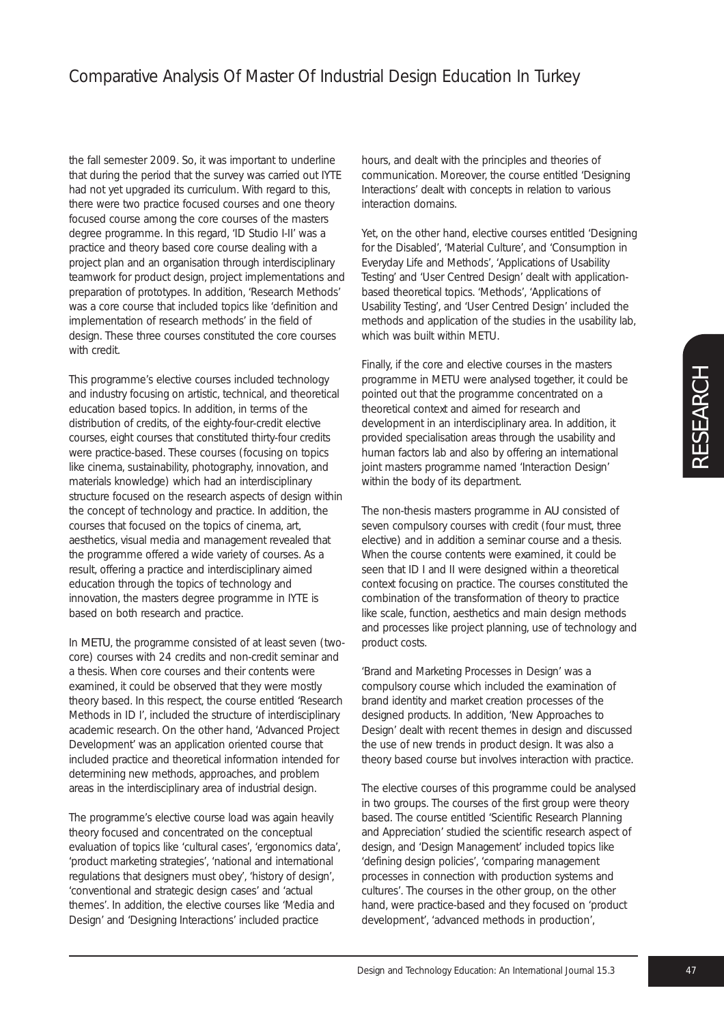## Comparative Analysis Of Master Of Industrial Design Education In Turkey

the fall semester 2009. So, it was important to underline that during the period that the survey was carried out IYTE had not yet upgraded its curriculum. With regard to this, there were two practice focused courses and one theory focused course among the core courses of the masters degree programme. In this regard, 'ID Studio I-II' was a practice and theory based core course dealing with a project plan and an organisation through interdisciplinary teamwork for product design, project implementations and preparation of prototypes. In addition, 'Research Methods' was a core course that included topics like 'definition and implementation of research methods' in the field of design. These three courses constituted the core courses with credit.

This programme's elective courses included technology and industry focusing on artistic, technical, and theoretical education based topics. In addition, in terms of the distribution of credits, of the eighty-four-credit elective courses, eight courses that constituted thirty-four credits were practice-based. These courses (focusing on topics like cinema, sustainability, photography, innovation, and materials knowledge) which had an interdisciplinary structure focused on the research aspects of design within the concept of technology and practice. In addition, the courses that focused on the topics of cinema, art, aesthetics, visual media and management revealed that the programme offered a wide variety of courses. As a result, offering a practice and interdisciplinary aimed education through the topics of technology and innovation, the masters degree programme in IYTE is based on both research and practice.

In METU, the programme consisted of at least seven (twocore) courses with 24 credits and non-credit seminar and a thesis. When core courses and their contents were examined, it could be observed that they were mostly theory based. In this respect, the course entitled 'Research Methods in ID I', included the structure of interdisciplinary academic research. On the other hand, 'Advanced Project Development' was an application oriented course that included practice and theoretical information intended for determining new methods, approaches, and problem areas in the interdisciplinary area of industrial design.

The programme's elective course load was again heavily theory focused and concentrated on the conceptual evaluation of topics like 'cultural cases', 'ergonomics data', 'product marketing strategies', 'national and international regulations that designers must obey', 'history of design', 'conventional and strategic design cases' and 'actual themes'. In addition, the elective courses like 'Media and Design' and 'Designing Interactions' included practice

hours, and dealt with the principles and theories of communication. Moreover, the course entitled 'Designing Interactions' dealt with concepts in relation to various interaction domains.

Yet, on the other hand, elective courses entitled 'Designing for the Disabled', 'Material Culture', and 'Consumption in Everyday Life and Methods', 'Applications of Usability Testing' and 'User Centred Design' dealt with applicationbased theoretical topics. 'Methods', 'Applications of Usability Testing', and 'User Centred Design' included the methods and application of the studies in the usability lab, which was built within METU.

Finally, if the core and elective courses in the masters programme in METU were analysed together, it could be pointed out that the programme concentrated on a theoretical context and aimed for research and development in an interdisciplinary area. In addition, it provided specialisation areas through the usability and human factors lab and also by offering an international joint masters programme named 'Interaction Design' within the body of its department.

The non-thesis masters programme in AU consisted of seven compulsory courses with credit (four must, three elective) and in addition a seminar course and a thesis. When the course contents were examined, it could be seen that ID I and II were designed within a theoretical context focusing on practice. The courses constituted the combination of the transformation of theory to practice like scale, function, aesthetics and main design methods and processes like project planning, use of technology and product costs.

'Brand and Marketing Processes in Design' was a compulsory course which included the examination of brand identity and market creation processes of the designed products. In addition, 'New Approaches to Design' dealt with recent themes in design and discussed the use of new trends in product design. It was also a theory based course but involves interaction with practice.

The elective courses of this programme could be analysed in two groups. The courses of the first group were theory based. The course entitled 'Scientific Research Planning and Appreciation' studied the scientific research aspect of design, and 'Design Management' included topics like 'defining design policies', 'comparing management processes in connection with production systems and cultures'. The courses in the other group, on the other hand, were practice-based and they focused on 'product development', 'advanced methods in production',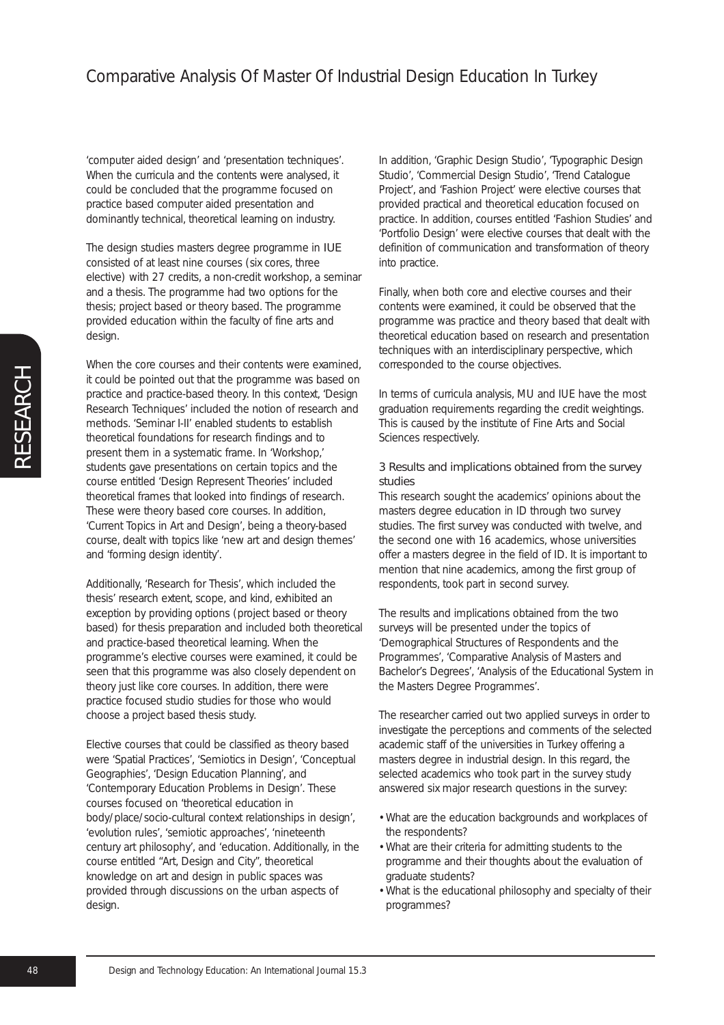'computer aided design' and 'presentation techniques'. When the curricula and the contents were analysed, it could be concluded that the programme focused on practice based computer aided presentation and dominantly technical, theoretical learning on industry.

The design studies masters degree programme in IUE consisted of at least nine courses (six cores, three elective) with 27 credits, a non-credit workshop, a seminar and a thesis. The programme had two options for the thesis; project based or theory based. The programme provided education within the faculty of fine arts and design.

When the core courses and their contents were examined, it could be pointed out that the programme was based on practice and practice-based theory. In this context, 'Design Research Techniques' included the notion of research and methods. 'Seminar I-II' enabled students to establish theoretical foundations for research findings and to present them in a systematic frame. In 'Workshop,' students gave presentations on certain topics and the course entitled 'Design Represent Theories' included theoretical frames that looked into findings of research. These were theory based core courses. In addition, 'Current Topics in Art and Design', being a theory-based course, dealt with topics like 'new art and design themes' and 'forming design identity'.

Additionally, 'Research for Thesis', which included the thesis' research extent, scope, and kind, exhibited an exception by providing options (project based or theory based) for thesis preparation and included both theoretical and practice-based theoretical learning. When the programme's elective courses were examined, it could be seen that this programme was also closely dependent on theory just like core courses. In addition, there were practice focused studio studies for those who would choose a project based thesis study.

Elective courses that could be classified as theory based were 'Spatial Practices', 'Semiotics in Design', 'Conceptual Geographies', 'Design Education Planning', and 'Contemporary Education Problems in Design'. These courses focused on 'theoretical education in body/place/socio-cultural context relationships in design', 'evolution rules', 'semiotic approaches', 'nineteenth century art philosophy', and 'education. Additionally, in the course entitled "Art, Design and City", theoretical knowledge on art and design in public spaces was provided through discussions on the urban aspects of design.

In addition, 'Graphic Design Studio', 'Typographic Design Studio', 'Commercial Design Studio', 'Trend Catalogue Project', and 'Fashion Project' were elective courses that provided practical and theoretical education focused on practice. In addition, courses entitled 'Fashion Studies' and 'Portfolio Design' were elective courses that dealt with the definition of communication and transformation of theory into practice.

Finally, when both core and elective courses and their contents were examined, it could be observed that the programme was practice and theory based that dealt with theoretical education based on research and presentation techniques with an interdisciplinary perspective, which corresponded to the course objectives.

In terms of curricula analysis, MU and IUE have the most graduation requirements regarding the credit weightings. This is caused by the institute of Fine Arts and Social Sciences respectively.

#### 3 Results and implications obtained from the survey studies

This research sought the academics' opinions about the masters degree education in ID through two survey studies. The first survey was conducted with twelve, and the second one with 16 academics, whose universities offer a masters degree in the field of ID. It is important to mention that nine academics, among the first group of respondents, took part in second survey.

The results and implications obtained from the two surveys will be presented under the topics of 'Demographical Structures of Respondents and the Programmes', 'Comparative Analysis of Masters and Bachelor's Degrees', 'Analysis of the Educational System in the Masters Degree Programmes'.

The researcher carried out two applied surveys in order to investigate the perceptions and comments of the selected academic staff of the universities in Turkey offering a masters degree in industrial design. In this regard, the selected academics who took part in the survey study answered six major research questions in the survey:

- What are the education backgrounds and workplaces of the respondents?
- What are their criteria for admitting students to the programme and their thoughts about the evaluation of graduate students?
- What is the educational philosophy and specialty of their programmes?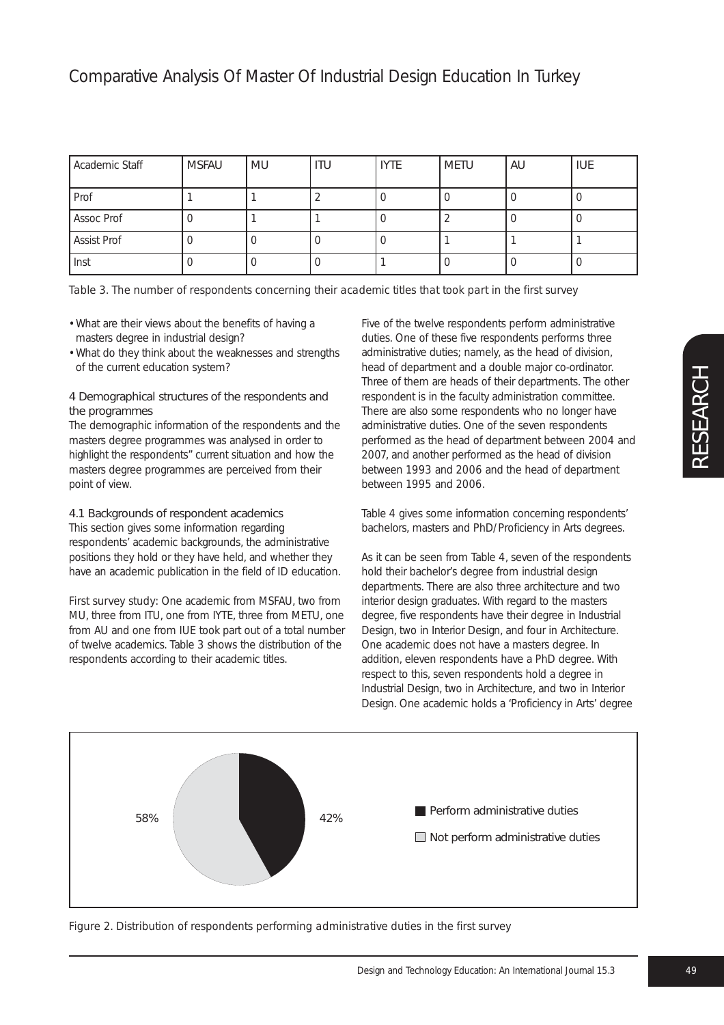| Academic Staff | <b>MSFAU</b> | l MU | <b>ITU</b> | <b>IYTE</b> | <b>METU</b> | <b>AU</b> | <b>IUE</b> |
|----------------|--------------|------|------------|-------------|-------------|-----------|------------|
| Prof           |              |      |            |             |             |           |            |
| Assoc Prof     |              |      |            |             |             |           |            |
| Assist Prof    |              |      |            |             |             |           |            |
| , Inst         |              |      |            |             |             |           |            |

#### *Table 3. The number of respondents concerning their academic titles that took part in the first survey*

- What are their views about the benefits of having a masters degree in industrial design?
- What do they think about the weaknesses and strengths of the current education system?

#### 4 Demographical structures of the respondents and the programmes

The demographic information of the respondents and the masters degree programmes was analysed in order to highlight the respondents" current situation and how the masters degree programmes are perceived from their point of view.

## 4.1 Backgrounds of respondent academics

This section gives some information regarding respondents' academic backgrounds, the administrative positions they hold or they have held, and whether they have an academic publication in the field of ID education.

*First survey study:* One academic from MSFAU, two from MU, three from ITU, one from IYTE, three from METU, one from AU and one from IUE took part out of a total number of twelve academics. Table 3 shows the distribution of the respondents according to their academic titles.

Five of the twelve respondents perform administrative duties. One of these five respondents performs three administrative duties; namely, as the head of division, head of department and a double major co-ordinator. Three of them are heads of their departments. The other respondent is in the faculty administration committee. There are also some respondents who no longer have administrative duties. One of the seven respondents performed as the head of department between 2004 and 2007, and another performed as the head of division between 1993 and 2006 and the head of department between 1995 and 2006.

Table 4 gives some information concerning respondents' bachelors, masters and PhD/Proficiency in Arts degrees.

As it can be seen from Table 4, seven of the respondents hold their bachelor's degree from industrial design departments. There are also three architecture and two interior design graduates. With regard to the masters degree, five respondents have their degree in Industrial Design, two in Interior Design, and four in Architecture. One academic does not have a masters degree. In addition, eleven respondents have a PhD degree. With respect to this, seven respondents hold a degree in Industrial Design, two in Architecture, and two in Interior Design. One academic holds a 'Proficiency in Arts' degree



*Figure 2. Distribution of respondents performing administrative duties in the first survey*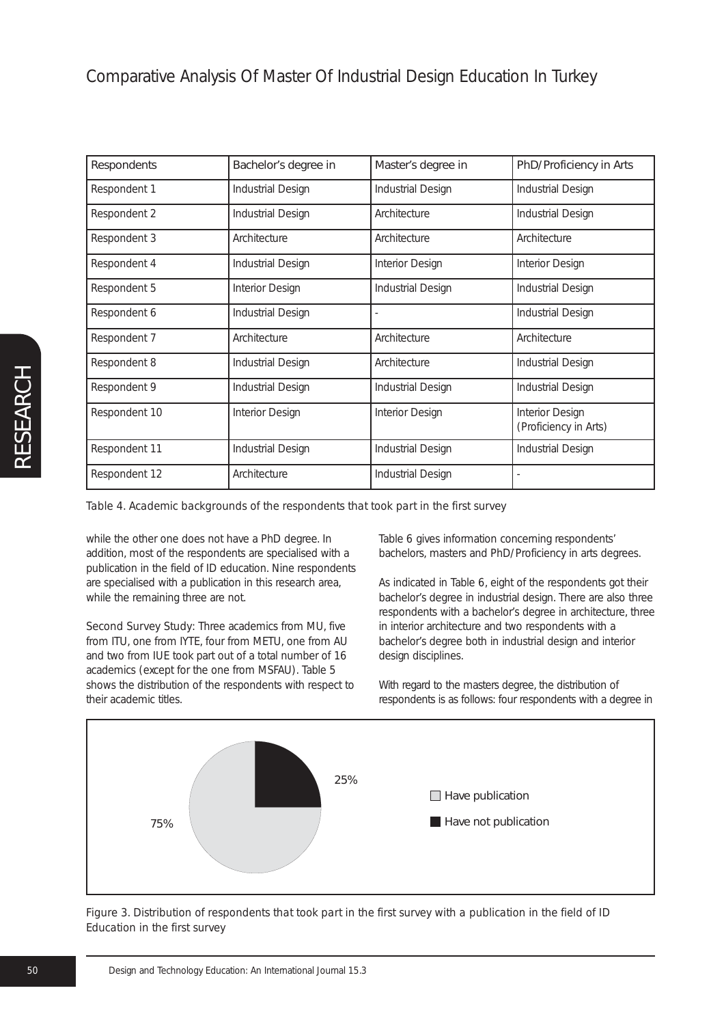## Comparative Analysis Of Master Of Industrial Design Education In Turkey

| Respondents   | Bachelor's degree in | Master's degree in | PhD/Proficiency in Arts                  |
|---------------|----------------------|--------------------|------------------------------------------|
| Respondent 1  | Industrial Design    | Industrial Design  | Industrial Design                        |
| Respondent 2  | Industrial Design    | Architecture       | Industrial Design                        |
| Respondent 3  | Architecture         | Architecture       | Architecture                             |
| Respondent 4  | Industrial Design    | Interior Design    | Interior Design                          |
| Respondent 5  | Interior Design      | Industrial Design  | Industrial Design                        |
| Respondent 6  | Industrial Design    |                    | Industrial Design                        |
| Respondent 7  | Architecture         | Architecture       | Architecture                             |
| Respondent 8  | Industrial Design    | Architecture       | Industrial Design                        |
| Respondent 9  | Industrial Design    | Industrial Design  | Industrial Design                        |
| Respondent 10 | Interior Design      | Interior Design    | Interior Design<br>(Proficiency in Arts) |
| Respondent 11 | Industrial Design    | Industrial Design  | Industrial Design                        |
| Respondent 12 | Architecture         | Industrial Design  |                                          |

*Table 4. Academic backgrounds of the respondents that took part in the first survey*

while the other one does not have a PhD degree. In addition, most of the respondents are specialised with a publication in the field of ID education. Nine respondents are specialised with a publication in this research area, while the remaining three are not.

*Second Survey Study:* Three academics from MU, five from ITU, one from IYTE, four from METU, one from AU and two from IUE took part out of a total number of 16 academics (except for the one from MSFAU). Table 5 shows the distribution of the respondents with respect to their academic titles.

Table 6 gives information concerning respondents' bachelors, masters and PhD/Proficiency in arts degrees.

As indicated in Table 6, eight of the respondents got their bachelor's degree in industrial design. There are also three respondents with a bachelor's degree in architecture, three in interior architecture and two respondents with a bachelor's degree both in industrial design and interior design disciplines.

With regard to the masters degree, the distribution of respondents is as follows: four respondents with a degree in



*Figure 3. Distribution of respondents that took part in the first survey with a publication in the field of ID Education in the first survey*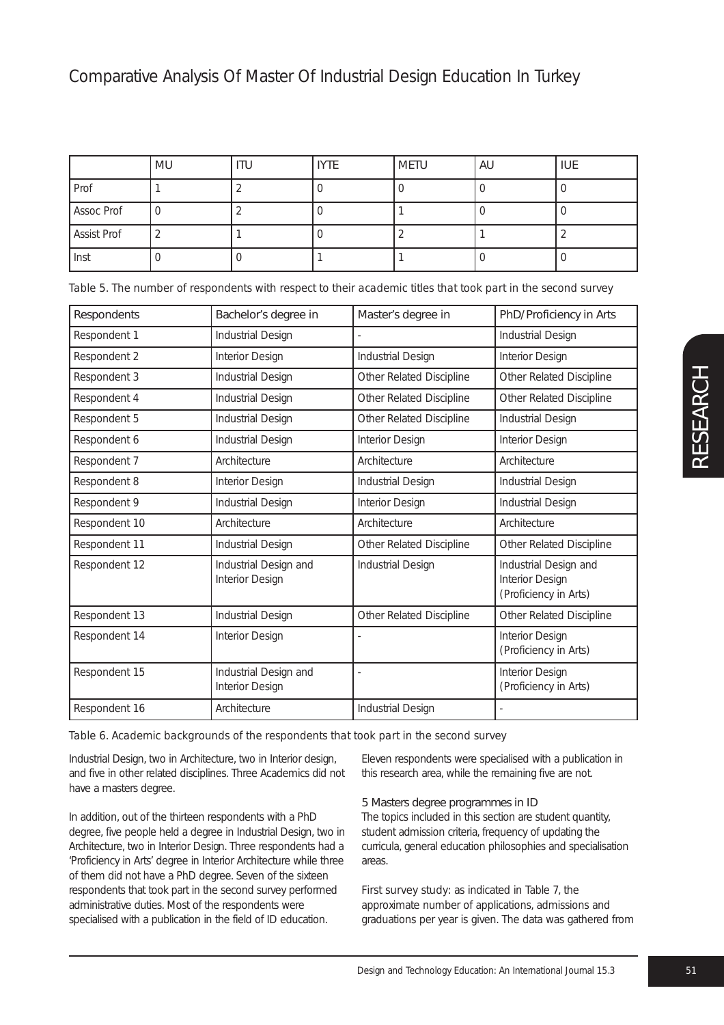|             | MU | <b>ITU</b> | <b>IYTE</b> | <b>METU</b> | AU | <b>IUE</b> |
|-------------|----|------------|-------------|-------------|----|------------|
| Prof        |    |            |             |             |    |            |
| Assoc Prof  |    |            |             |             |    |            |
| Assist Prof |    |            |             |             |    |            |
| Inst        |    |            |             |             |    |            |

|  |  |  | Table 5. The number of respondents with respect to their academic titles that took part in the second survey |  |
|--|--|--|--------------------------------------------------------------------------------------------------------------|--|
|  |  |  |                                                                                                              |  |

| Respondents   | Bachelor's degree in                     | Master's degree in       | PhD/Proficiency in Arts                                           |
|---------------|------------------------------------------|--------------------------|-------------------------------------------------------------------|
| Respondent 1  | Industrial Design                        |                          | Industrial Design                                                 |
| Respondent 2  | Interior Design                          | Industrial Design        | Interior Design                                                   |
| Respondent 3  | Industrial Design                        | Other Related Discipline | Other Related Discipline                                          |
| Respondent 4  | Industrial Design                        | Other Related Discipline | Other Related Discipline                                          |
| Respondent 5  | Industrial Design                        | Other Related Discipline | Industrial Design                                                 |
| Respondent 6  | Industrial Design                        | Interior Design          | Interior Design                                                   |
| Respondent 7  | Architecture                             | Architecture             | Architecture                                                      |
| Respondent 8  | Interior Design                          | Industrial Design        | Industrial Design                                                 |
| Respondent 9  | Industrial Design                        | Interior Design          | Industrial Design                                                 |
| Respondent 10 | Architecture                             | Architecture             | Architecture                                                      |
| Respondent 11 | Industrial Design                        | Other Related Discipline | Other Related Discipline                                          |
| Respondent 12 | Industrial Design and<br>Interior Design | Industrial Design        | Industrial Design and<br>Interior Design<br>(Proficiency in Arts) |
| Respondent 13 | Industrial Design                        | Other Related Discipline | Other Related Discipline                                          |
| Respondent 14 | Interior Design                          |                          | Interior Design<br>(Proficiency in Arts)                          |
| Respondent 15 | Industrial Design and<br>Interior Design |                          | Interior Design<br>(Proficiency in Arts)                          |
| Respondent 16 | Architecture                             | Industrial Design        |                                                                   |

#### *Table 6. Academic backgrounds of the respondents that took part in the second survey*

Industrial Design, two in Architecture, two in Interior design, and five in other related disciplines. Three Academics did not have a masters degree.

In addition, out of the thirteen respondents with a PhD degree, five people held a degree in Industrial Design, two in Architecture, two in Interior Design. Three respondents had a 'Proficiency in Arts' degree in Interior Architecture while three of them did not have a PhD degree. Seven of the sixteen respondents that took part in the second survey performed administrative duties. Most of the respondents were specialised with a publication in the field of ID education.

Eleven respondents were specialised with a publication in this research area, while the remaining five are not.

## 5 Masters degree programmes in ID

The topics included in this section are student quantity, student admission criteria, frequency of updating the curricula, general education philosophies and specialisation areas.

*First survey study:* as indicated in Table 7, the approximate number of applications, admissions and graduations per year is given. The data was gathered from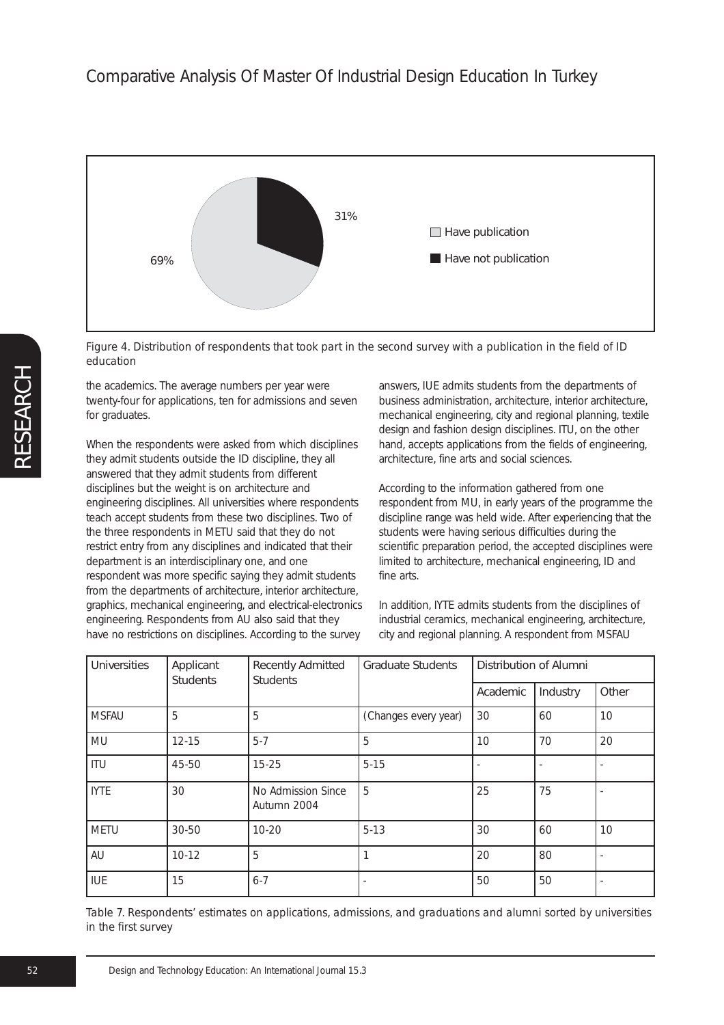

*Figure 4. Distribution of respondents that took part in the second survey with a publication in the field of ID education*

the academics. The average numbers per year were twenty-four for applications, ten for admissions and seven for graduates.

When the respondents were asked from which disciplines they admit students outside the ID discipline, they all answered that they admit students from different disciplines but the weight is on architecture and engineering disciplines. All universities where respondents teach accept students from these two disciplines. Two of the three respondents in METU said that they do not restrict entry from any disciplines and indicated that their department is an interdisciplinary one, and one respondent was more specific saying they admit students from the departments of architecture, interior architecture, graphics, mechanical engineering, and electrical-electronics engineering. Respondents from AU also said that they have no restrictions on disciplines. According to the survey

answers, IUE admits students from the departments of business administration, architecture, interior architecture, mechanical engineering, city and regional planning, textile design and fashion design disciplines. ITU, on the other hand, accepts applications from the fields of engineering, architecture, fine arts and social sciences.

According to the information gathered from one respondent from MU, in early years of the programme the discipline range was held wide. After experiencing that the students were having serious difficulties during the scientific preparation period, the accepted disciplines were limited to architecture, mechanical engineering, ID and fine arts.

In addition, IYTE admits students from the disciplines of industrial ceramics, mechanical engineering, architecture, city and regional planning. A respondent from MSFAU

| <b>Universities</b> | Applicant<br><b>Students</b> | <b>Recently Admitted</b><br><b>Students</b> | <b>Graduate Students</b> | Distribution of Alumni |          |       |
|---------------------|------------------------------|---------------------------------------------|--------------------------|------------------------|----------|-------|
|                     |                              |                                             |                          | Academic               | Industry | Other |
| <b>MSFAU</b>        | 5                            | 5                                           | (Changes every year)     | 30                     | 60       | 10    |
| MU                  | $12 - 15$                    | $5 - 7$                                     | 5                        | 10                     | 70       | 20    |
| <b>ITU</b>          | 45-50                        | $15 - 25$                                   | $5 - 15$                 |                        |          |       |
| <b>IYTE</b>         | 30                           | No Admission Since<br>Autumn 2004           | 5                        | 25                     | 75       |       |
| METU                | 30-50                        | $10 - 20$                                   | $5 - 13$                 | 30                     | 60       | 10    |
| AU                  | $10 - 12$                    | 5                                           | 1                        | 20                     | 80       |       |
| <b>IUE</b>          | 15                           | $6 - 7$                                     |                          | 50                     | 50       |       |

*Table 7. Respondents' estimates on applications, admissions, and graduations and alumni sorted by universities in the first survey*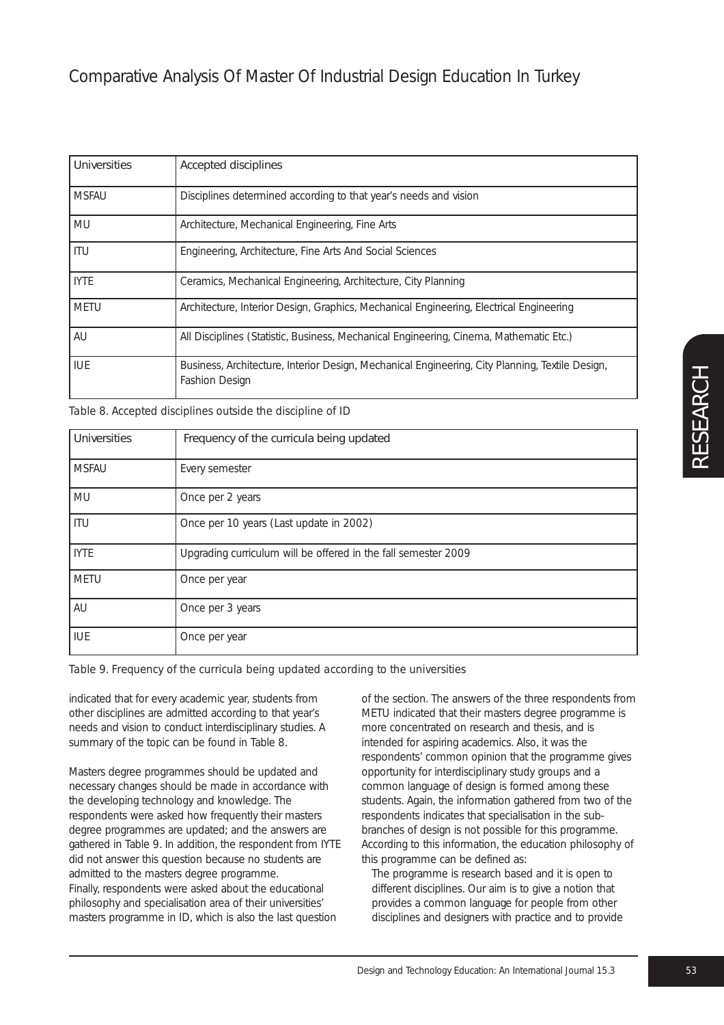| <b>Universities</b> | <b>Accepted disciplines</b>                                                                                       |
|---------------------|-------------------------------------------------------------------------------------------------------------------|
| <b>MSFAU</b>        | Disciplines determined according to that year's needs and vision                                                  |
| MU                  | Architecture, Mechanical Engineering, Fine Arts                                                                   |
| <b>ITU</b>          | Engineering, Architecture, Fine Arts And Social Sciences                                                          |
| <b>IYTE</b>         | Ceramics, Mechanical Engineering, Architecture, City Planning                                                     |
| <b>METU</b>         | Architecture, Interior Design, Graphics, Mechanical Engineering, Electrical Engineering                           |
| AU                  | All Disciplines (Statistic, Business, Mechanical Engineering, Cinema, Mathematic Etc.)                            |
| <b>IUE</b>          | Business, Architecture, Interior Design, Mechanical Engineering, City Planning, Textile Design,<br>Fashion Design |

*Table 8. Accepted disciplines outside the discipline of ID*

| <b>Universities</b> | Frequency of the curricula being updated                       |
|---------------------|----------------------------------------------------------------|
| <b>MSFAU</b>        | Every semester                                                 |
| MU                  | Once per 2 years                                               |
| ITU                 | Once per 10 years (Last update in 2002)                        |
| <b>IYTE</b>         | Upgrading curriculum will be offered in the fall semester 2009 |
| METU                | Once per year                                                  |
| AU                  | Once per 3 years                                               |
| I IUE               | Once per year                                                  |

## *Table 9. Frequency of the curricula being updated according to the universities*

indicated that for every academic year, students from other disciplines are admitted according to that year's needs and vision to conduct interdisciplinary studies. A summary of the topic can be found in Table 8.

Masters degree programmes should be updated and necessary changes should be made in accordance with the developing technology and knowledge. The respondents were asked how frequently their masters degree programmes are updated; and the answers are gathered in Table 9. In addition, the respondent from IYTE did not answer this question because no students are admitted to the masters degree programme. Finally, respondents were asked about the educational philosophy and specialisation area of their universities' masters programme in ID, which is also the last question

of the section. The answers of the three respondents from METU indicated that their masters degree programme is more concentrated on research and thesis, and is intended for aspiring academics. Also, it was the respondents' common opinion that the programme gives opportunity for interdisciplinary study groups and a common language of design is formed among these students. Again, the information gathered from two of the respondents indicates that specialisation in the subbranches of design is not possible for this programme. According to this information, the education philosophy of this programme can be defined as:

The programme is research based and it is open to different disciplines. Our aim is to give a notion that provides a common language for people from other disciplines and designers with practice and to provide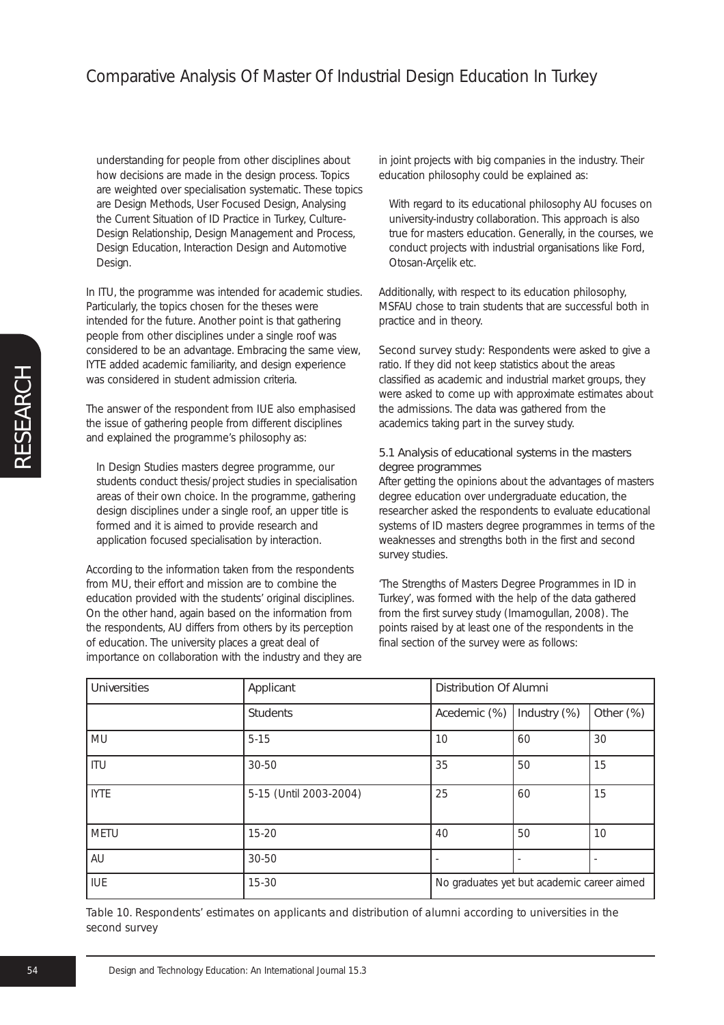understanding for people from other disciplines about how decisions are made in the design process. Topics are weighted over specialisation systematic. These topics are Design Methods, User Focused Design, Analysing the Current Situation of ID Practice in Turkey, Culture-Design Relationship, Design Management and Process, Design Education, Interaction Design and Automotive Design.

In ITU, the programme was intended for academic studies. Particularly, the topics chosen for the theses were intended for the future. Another point is that gathering people from other disciplines under a single roof was considered to be an advantage. Embracing the same view, IYTE added academic familiarity, and design experience was considered in student admission criteria.

The answer of the respondent from IUE also emphasised the issue of gathering people from different disciplines and explained the programme's philosophy as:

In Design Studies masters degree programme, our students conduct thesis/project studies in specialisation areas of their own choice. In the programme, gathering design disciplines under a single roof, an upper title is formed and it is aimed to provide research and application focused specialisation by interaction.

According to the information taken from the respondents from MU, their effort and mission are to combine the education provided with the students' original disciplines. On the other hand, again based on the information from the respondents, AU differs from others by its perception of education. The university places a great deal of importance on collaboration with the industry and they are in joint projects with big companies in the industry. Their education philosophy could be explained as:

With regard to its educational philosophy AU focuses on university-industry collaboration. This approach is also true for masters education. Generally, in the courses, we conduct projects with industrial organisations like Ford, Otosan-Arçelik etc.

Additionally, with respect to its education philosophy, MSFAU chose to train students that are successful both in practice and in theory.

Second survey study: Respondents were asked to give a ratio. If they did not keep statistics about the areas classified as academic and industrial market groups, they were asked to come up with approximate estimates about the admissions. The data was gathered from the academics taking part in the survey study.

#### 5.1 Analysis of educational systems in the masters degree programmes

After getting the opinions about the advantages of masters degree education over undergraduate education, the researcher asked the respondents to evaluate educational systems of ID masters degree programmes in terms of the weaknesses and strengths both in the first and second survey studies.

'The Strengths of Masters Degree Programmes in ID in Turkey', was formed with the help of the data gathered from the first survey study (Imamogulları, 2008). The points raised by at least one of the respondents in the final section of the survey were as follows:

| <b>Universities</b> | Applicant              | <b>Distribution Of Alumni</b>              |              |           |
|---------------------|------------------------|--------------------------------------------|--------------|-----------|
|                     | <b>Students</b>        | Acedemic (%)                               | Industry (%) | Other (%) |
| MU                  | $5 - 15$               | 10                                         | 60           | 30        |
| ITU                 | 30-50                  | 35                                         | 50           | 15        |
| <b>IYTE</b>         | 5-15 (Until 2003-2004) | 25                                         | 60           | 15        |
| <b>METU</b>         | $15 - 20$              | 40                                         | 50           | 10        |
| AU                  | 30-50                  |                                            |              |           |
| IUE                 | $15 - 30$              | No graduates yet but academic career aimed |              |           |

*Table 10. Respondents' estimates on applicants and distribution of alumni according to universities in the second survey*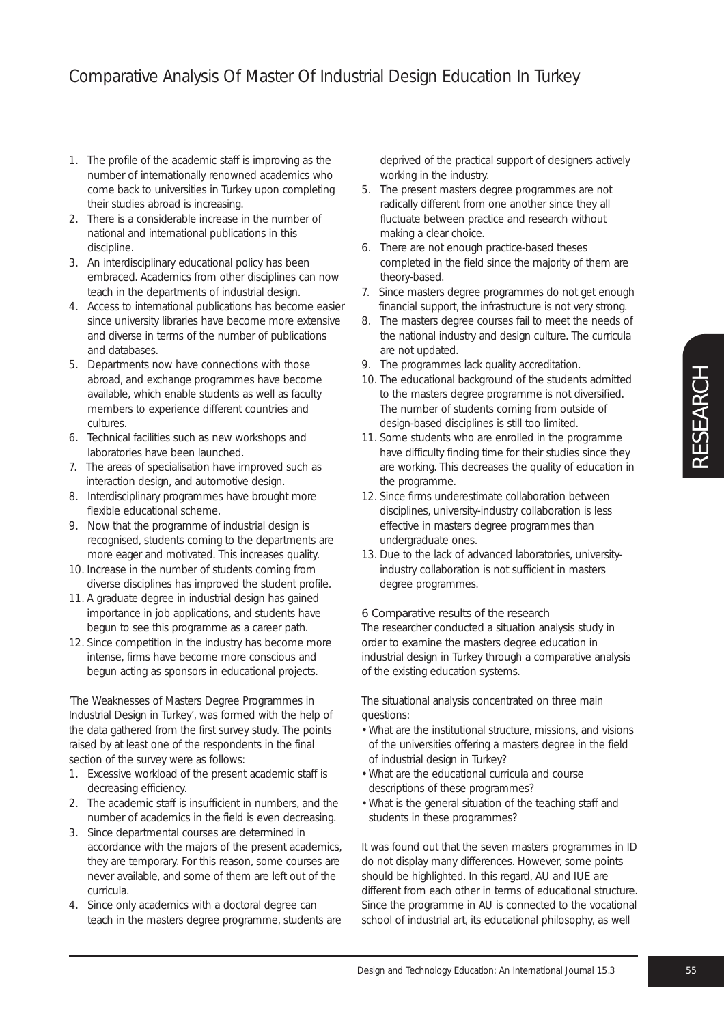- 1. The profile of the academic staff is improving as the number of internationally renowned academics who come back to universities in Turkey upon completing their studies abroad is increasing.
- 2. There is a considerable increase in the number of national and international publications in this discipline.
- 3. An interdisciplinary educational policy has been embraced. Academics from other disciplines can now teach in the departments of industrial design.
- 4. Access to international publications has become easier since university libraries have become more extensive and diverse in terms of the number of publications and databases.
- 5. Departments now have connections with those abroad, and exchange programmes have become available, which enable students as well as faculty members to experience different countries and cultures.
- 6. Technical facilities such as new workshops and laboratories have been launched.
- 7. The areas of specialisation have improved such as interaction design, and automotive design.
- 8. Interdisciplinary programmes have brought more flexible educational scheme.
- 9. Now that the programme of industrial design is recognised, students coming to the departments are more eager and motivated. This increases quality.
- 10. Increase in the number of students coming from diverse disciplines has improved the student profile.
- 11. A graduate degree in industrial design has gained importance in job applications, and students have begun to see this programme as a career path.
- 12. Since competition in the industry has become more intense, firms have become more conscious and begun acting as sponsors in educational projects.

'The Weaknesses of Masters Degree Programmes in Industrial Design in Turkey', was formed with the help of the data gathered from the first survey study. The points raised by at least one of the respondents in the final section of the survey were as follows:

- 1. Excessive workload of the present academic staff is decreasing efficiency.
- 2. The academic staff is insufficient in numbers, and the number of academics in the field is even decreasing.
- 3. Since departmental courses are determined in accordance with the majors of the present academics, they are temporary. For this reason, some courses are never available, and some of them are left out of the curricula.
- 4. Since only academics with a doctoral degree can teach in the masters degree programme, students are

deprived of the practical support of designers actively working in the industry.

- 5. The present masters degree programmes are not radically different from one another since they all fluctuate between practice and research without making a clear choice.
- 6. There are not enough practice-based theses completed in the field since the majority of them are theory-based.
- 7. Since masters degree programmes do not get enough financial support, the infrastructure is not very strong.
- 8. The masters degree courses fail to meet the needs of the national industry and design culture. The curricula are not updated.
- 9. The programmes lack quality accreditation.
- 10. The educational background of the students admitted to the masters degree programme is not diversified. The number of students coming from outside of design-based disciplines is still too limited.
- 11. Some students who are enrolled in the programme have difficulty finding time for their studies since they are working. This decreases the quality of education in the programme.
- 12. Since firms underestimate collaboration between disciplines, university-industry collaboration is less effective in masters degree programmes than undergraduate ones.
- 13. Due to the lack of advanced laboratories, universityindustry collaboration is not sufficient in masters degree programmes.

## 6 Comparative results of the research

The researcher conducted a situation analysis study in order to examine the masters degree education in industrial design in Turkey through a comparative analysis of the existing education systems.

The situational analysis concentrated on three main questions:

- What are the institutional structure, missions, and visions of the universities offering a masters degree in the field of industrial design in Turkey?
- What are the educational curricula and course descriptions of these programmes?
- What is the general situation of the teaching staff and students in these programmes?

It was found out that the seven masters programmes in ID do not display many differences. However, some points should be highlighted. In this regard, AU and IUE are different from each other in terms of educational structure. Since the programme in AU is connected to the vocational school of industrial art, its educational philosophy, as well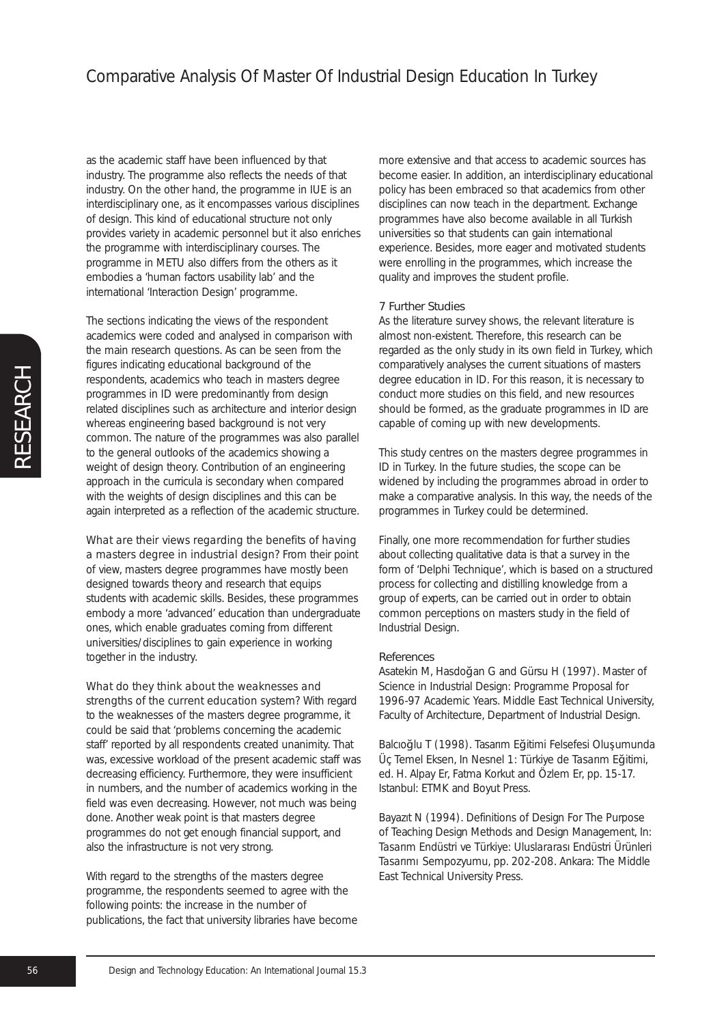as the academic staff have been influenced by that industry. The programme also reflects the needs of that industry. On the other hand, the programme in IUE is an interdisciplinary one, as it encompasses various disciplines of design. This kind of educational structure not only provides variety in academic personnel but it also enriches the programme with interdisciplinary courses. The programme in METU also differs from the others as it embodies a 'human factors usability lab' and the international 'Interaction Design' programme.

The sections indicating the views of the respondent academics were coded and analysed in comparison with the main research questions. As can be seen from the figures indicating educational background of the respondents, academics who teach in masters degree programmes in ID were predominantly from design related disciplines such as architecture and interior design whereas engineering based background is not very common. The nature of the programmes was also parallel to the general outlooks of the academics showing a weight of design theory. Contribution of an engineering approach in the curricula is secondary when compared with the weights of design disciplines and this can be again interpreted as a reflection of the academic structure.

*What are their views regarding the benefits of having a masters degree in industrial design?* From their point of view, masters degree programmes have mostly been designed towards theory and research that equips students with academic skills. Besides, these programmes embody a more 'advanced' education than undergraduate ones, which enable graduates coming from different universities/disciplines to gain experience in working together in the industry.

## *What do they think about the weaknesses and*

*strengths of the current education system?* With regard to the weaknesses of the masters degree programme, it could be said that 'problems concerning the academic staff' reported by all respondents created unanimity. That was, excessive workload of the present academic staff was decreasing efficiency. Furthermore, they were insufficient in numbers, and the number of academics working in the field was even decreasing. However, not much was being done. Another weak point is that masters degree programmes do not get enough financial support, and also the infrastructure is not very strong.

With regard to the strengths of the masters degree programme, the respondents seemed to agree with the following points: the increase in the number of publications, the fact that university libraries have become more extensive and that access to academic sources has become easier. In addition, an interdisciplinary educational policy has been embraced so that academics from other disciplines can now teach in the department. Exchange programmes have also become available in all Turkish universities so that students can gain international experience. Besides, more eager and motivated students were enrolling in the programmes, which increase the quality and improves the student profile.

## 7 Further Studies

As the literature survey shows, the relevant literature is almost non-existent. Therefore, this research can be regarded as the only study in its own field in Turkey, which comparatively analyses the current situations of masters degree education in ID. For this reason, it is necessary to conduct more studies on this field, and new resources should be formed, as the graduate programmes in ID are capable of coming up with new developments.

This study centres on the masters degree programmes in ID in Turkey. In the future studies, the scope can be widened by including the programmes abroad in order to make a comparative analysis. In this way, the needs of the programmes in Turkey could be determined.

Finally, one more recommendation for further studies about collecting qualitative data is that a survey in the form of 'Delphi Technique', which is based on a structured process for collecting and distilling knowledge from a group of experts, can be carried out in order to obtain common perceptions on masters study in the field of Industrial Design.

#### References

Asatekin M, Hasdoğan G and Gürsu H (1997). Master of Science in Industrial Design: Programme Proposal for 1996-97 Academic Years. Middle East Technical University, Faculty of Architecture, Department of Industrial Design.

Balcıoğlu T (1998). Tasarım Eğitimi Felsefesi Olusumunda Üç Temel Eksen, In Nesnel 1: *Türkiye de Tasarım E*ğ*itimi*, ed. H. Alpay Er, Fatma Korkut and Özlem Er, pp. 15-17. Istanbul: ETMK and Boyut Press.

Bayazıt N (1994). Definitions of Design For The Purpose of Teaching Design Methods and Design Management, In: *Tasarım Endüstri ve Türkiye: Uluslararası Endüstri Ürünleri Tasarımı Sempozyumu*, pp. 202-208. Ankara: The Middle East Technical University Press.